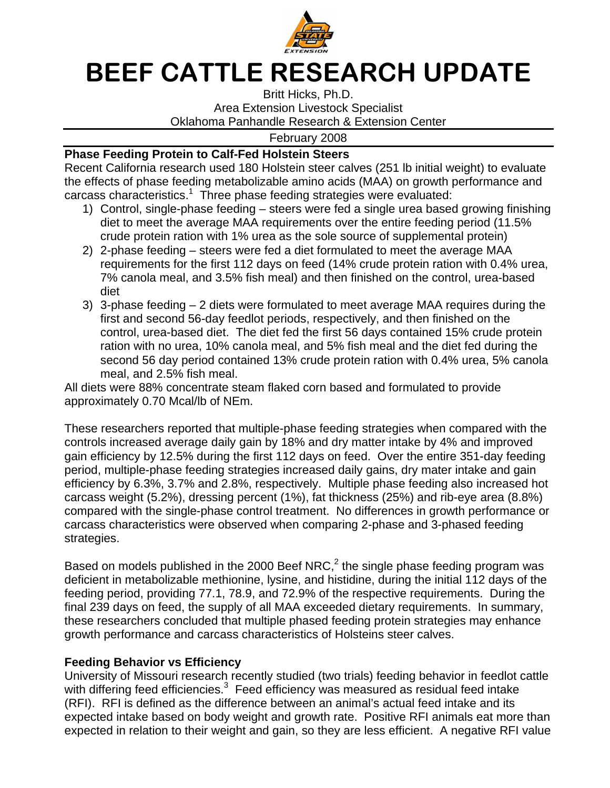

## BEEF CATTLE RESEARCH UPDATE

Britt Hicks, Ph.D. Area Extension Livestock Specialist Oklahoma Panhandle Research & Extension Center

February 2008

## **Phase Feeding Protein to Calf-Fed Holstein Steers**

Recent California research used 180 Holstein steer calves (251 lb initial weight) to evaluate the effects of phase feeding metabolizable amino acids (MAA) on growth performance and carcass characteristics.<sup>1</sup> Three phase feeding strategies were evaluated:

- 1) Control, single-phase feeding steers were fed a single urea based growing finishing diet to meet the average MAA requirements over the entire feeding period (11.5% crude protein ration with 1% urea as the sole source of supplemental protein)
- 2) 2-phase feeding steers were fed a diet formulated to meet the average MAA requirements for the first 112 days on feed (14% crude protein ration with 0.4% urea, 7% canola meal, and 3.5% fish meal) and then finished on the control, urea-based diet
- 3) 3-phase feeding 2 diets were formulated to meet average MAA requires during the first and second 56-day feedlot periods, respectively, and then finished on the control, urea-based diet. The diet fed the first 56 days contained 15% crude protein ration with no urea, 10% canola meal, and 5% fish meal and the diet fed during the second 56 day period contained 13% crude protein ration with 0.4% urea, 5% canola meal, and 2.5% fish meal.

All diets were 88% concentrate steam flaked corn based and formulated to provide approximately 0.70 Mcal/lb of NEm.

These researchers reported that multiple-phase feeding strategies when compared with the controls increased average daily gain by 18% and dry matter intake by 4% and improved gain efficiency by 12.5% during the first 112 days on feed. Over the entire 351-day feeding period, multiple-phase feeding strategies increased daily gains, dry mater intake and gain efficiency by 6.3%, 3.7% and 2.8%, respectively. Multiple phase feeding also increased hot carcass weight (5.2%), dressing percent (1%), fat thickness (25%) and rib-eye area (8.8%) compared with the single-phase control treatment. No differences in growth performance or carcass characteristics were observed when comparing 2-phase and 3-phased feeding strategies.

Based on models published in the 2000 Beef NRC,<sup>2</sup> the single phase feeding program was deficient in metabolizable methionine, lysine, and histidine, during the initial 112 days of the feeding period, providing 77.1, 78.9, and 72.9% of the respective requirements. During the final 239 days on feed, the supply of all MAA exceeded dietary requirements. In summary, these researchers concluded that multiple phased feeding protein strategies may enhance growth performance and carcass characteristics of Holsteins steer calves.

## **Feeding Behavior vs Efficiency**

University of Missouri research recently studied (two trials) feeding behavior in feedlot cattle with differing feed efficiencies. $3$  Feed efficiency was measured as residual feed intake (RFI). RFI is defined as the difference between an animal's actual feed intake and its expected intake based on body weight and growth rate. Positive RFI animals eat more than expected in relation to their weight and gain, so they are less efficient. A negative RFI value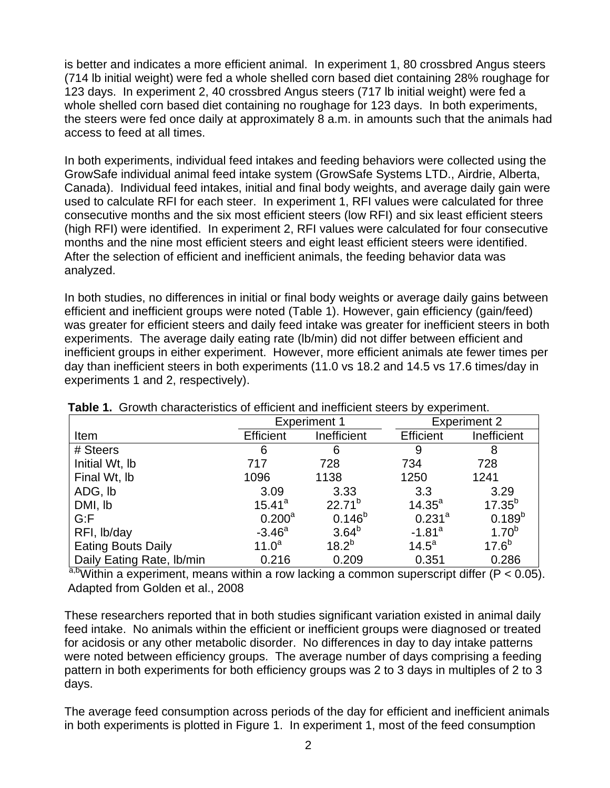is better and indicates a more efficient animal. In experiment 1, 80 crossbred Angus steers (714 lb initial weight) were fed a whole shelled corn based diet containing 28% roughage for 123 days. In experiment 2, 40 crossbred Angus steers (717 lb initial weight) were fed a whole shelled corn based diet containing no roughage for 123 days. In both experiments, the steers were fed once daily at approximately 8 a.m. in amounts such that the animals had access to feed at all times.

In both experiments, individual feed intakes and feeding behaviors were collected using the GrowSafe individual animal feed intake system (GrowSafe Systems LTD., Airdrie, Alberta, Canada). Individual feed intakes, initial and final body weights, and average daily gain were used to calculate RFI for each steer. In experiment 1, RFI values were calculated for three consecutive months and the six most efficient steers (low RFI) and six least efficient steers (high RFI) were identified. In experiment 2, RFI values were calculated for four consecutive months and the nine most efficient steers and eight least efficient steers were identified. After the selection of efficient and inefficient animals, the feeding behavior data was analyzed.

In both studies, no differences in initial or final body weights or average daily gains between efficient and inefficient groups were noted (Table 1). However, gain efficiency (gain/feed) was greater for efficient steers and daily feed intake was greater for inefficient steers in both experiments. The average daily eating rate (lb/min) did not differ between efficient and inefficient groups in either experiment. However, more efficient animals ate fewer times per day than inefficient steers in both experiments (11.0 vs 18.2 and 14.5 vs 17.6 times/day in experiments 1 and 2, respectively).

|                                       | <b>Experiment 1</b> |             | <b>Experiment 2</b>  |             |
|---------------------------------------|---------------------|-------------|----------------------|-------------|
| Item                                  | <b>Efficient</b>    | Inefficient | Efficient            | Inefficient |
| # Steers                              | 6                   | 6           | 9                    | 8           |
| Initial Wt, Ib                        | 717                 | 728         | 734                  | 728         |
| Final Wt, Ib                          | 1096                | 1138        | 1250                 | 1241        |
| ADG, Ib                               | 3.09                | 3.33        | 3.3                  | 3.29        |
| DMI, lb                               | $15.41^a$           | $22.71^{b}$ | $14.35^{a}$          | $17.35^{b}$ |
| G: F                                  | 0.200 <sup>a</sup>  | $0.146^{b}$ | $0.231^{a}$          | $0.189^{b}$ |
| RFI, Ib/day                           | $-3.46^a$           | $3.64^{b}$  | $-1.81$ <sup>a</sup> | $1.70^{b}$  |
| <b>Eating Bouts Daily</b>             | $11.0^a$            | $18.2^{b}$  | $14.5^{\circ}$       | $17.6^{b}$  |
| Daily Eating Rate, Ib/min<br>$2h + 1$ | 0.216               | 0.209       | 0.351                | 0.286       |

 **Table 1.** Growth characteristics of efficient and inefficient steers by experiment.

<sup>a,b</sup>Within a experiment, means within a row lacking a common superscript differ (P < 0.05). Adapted from Golden et al., 2008

These researchers reported that in both studies significant variation existed in animal daily feed intake. No animals within the efficient or inefficient groups were diagnosed or treated for acidosis or any other metabolic disorder. No differences in day to day intake patterns were noted between efficiency groups. The average number of days comprising a feeding pattern in both experiments for both efficiency groups was 2 to 3 days in multiples of 2 to 3 days.

The average feed consumption across periods of the day for efficient and inefficient animals in both experiments is plotted in Figure 1. In experiment 1, most of the feed consumption